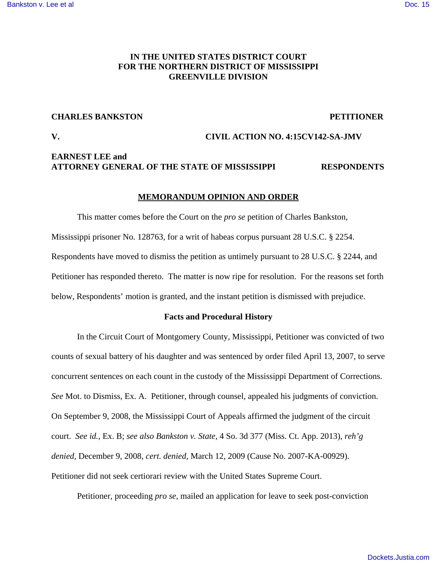# **IN THE UNITED STATES DISTRICT COURT FOR THE NORTHERN DISTRICT OF MISSISSIPPI GREENVILLE DIVISION**

## **CHARLES BANKSTON PETITIONER**

# **V. CIVIL ACTION NO. 4:15CV142-SA-JMV**

# **EARNEST LEE and ATTORNEY GENERAL OF THE STATE OF MISSISSIPPI RESPONDENTS**

### **MEMORANDUM OPINION AND ORDER**

This matter comes before the Court on the *pro se* petition of Charles Bankston, Mississippi prisoner No. 128763, for a writ of habeas corpus pursuant 28 U.S.C. § 2254. Respondents have moved to dismiss the petition as untimely pursuant to 28 U.S.C. § 2244, and Petitioner has responded thereto. The matter is now ripe for resolution. For the reasons set forth below, Respondents' motion is granted, and the instant petition is dismissed with prejudice.

#### **Facts and Procedural History**

In the Circuit Court of Montgomery County, Mississippi, Petitioner was convicted of two counts of sexual battery of his daughter and was sentenced by order filed April 13, 2007, to serve concurrent sentences on each count in the custody of the Mississippi Department of Corrections. *See* Mot. to Dismiss, Ex. A. Petitioner, through counsel, appealed his judgments of conviction. On September 9, 2008, the Mississippi Court of Appeals affirmed the judgment of the circuit court. *See id.*, Ex. B; *see also Bankston v. State*, 4 So. 3d 377 (Miss. Ct. App. 2013), *reh'g denied*, December 9, 2008, *cert. denied*, March 12, 2009 (Cause No. 2007-KA-00929). Petitioner did not seek certiorari review with the United States Supreme Court.

Petitioner, proceeding *pro se*, mailed an application for leave to seek post-conviction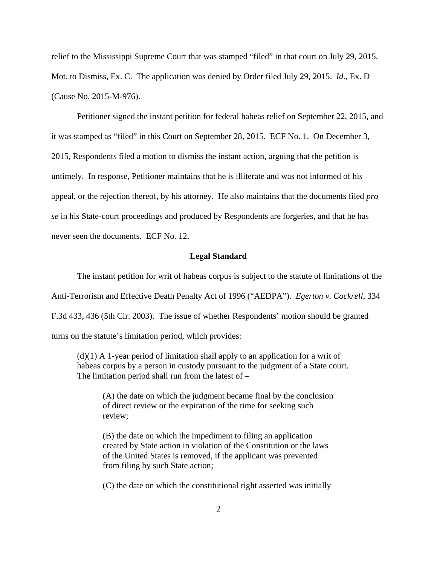relief to the Mississippi Supreme Court that was stamped "filed" in that court on July 29, 2015. Mot. to Dismiss, Ex. C. The application was denied by Order filed July 29, 2015. *Id*., Ex. D (Cause No. 2015-M-976).

Petitioner signed the instant petition for federal habeas relief on September 22, 2015, and it was stamped as "filed" in this Court on September 28, 2015. ECF No. 1. On December 3, 2015, Respondents filed a motion to dismiss the instant action, arguing that the petition is untimely. In response, Petitioner maintains that he is illiterate and was not informed of his appeal, or the rejection thereof, by his attorney. He also maintains that the documents filed *pro se* in his State-court proceedings and produced by Respondents are forgeries, and that he has never seen the documents. ECF No. 12.

## **Legal Standard**

The instant petition for writ of habeas corpus is subject to the statute of limitations of the Anti-Terrorism and Effective Death Penalty Act of 1996 ("AEDPA"). *Egerton v. Cockrell*, 334 F.3d 433, 436 (5th Cir. 2003). The issue of whether Respondents' motion should be granted turns on the statute's limitation period, which provides:

 $(d)(1)$  A 1-year period of limitation shall apply to an application for a writ of habeas corpus by a person in custody pursuant to the judgment of a State court. The limitation period shall run from the latest of –

(A) the date on which the judgment became final by the conclusion of direct review or the expiration of the time for seeking such review;

(B) the date on which the impediment to filing an application created by State action in violation of the Constitution or the laws of the United States is removed, if the applicant was prevented from filing by such State action;

(C) the date on which the constitutional right asserted was initially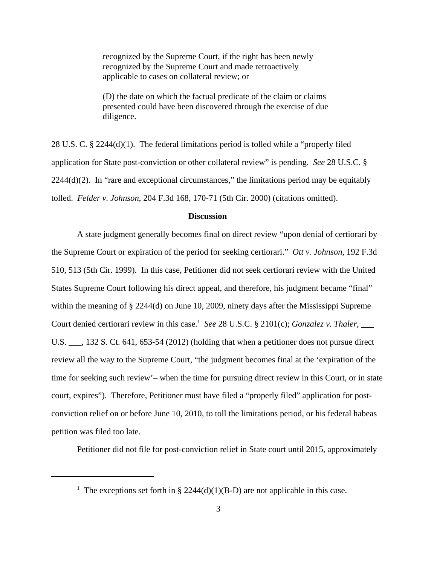recognized by the Supreme Court, if the right has been newly recognized by the Supreme Court and made retroactively applicable to cases on collateral review; or

(D) the date on which the factual predicate of the claim or claims presented could have been discovered through the exercise of due diligence.

28 U.S. C. § 2244(d)(1). The federal limitations period is tolled while a "properly filed application for State post-conviction or other collateral review" is pending. *See* 28 U.S.C. §  $2244(d)(2)$ . In "rare and exceptional circumstances," the limitations period may be equitably tolled. *Felder v. Johnson*, 204 F.3d 168, 170-71 (5th Cir. 2000) (citations omitted).

# **Discussion**

A state judgment generally becomes final on direct review "upon denial of certiorari by the Supreme Court or expiration of the period for seeking certiorari." *Ott v. Johnson*, 192 F.3d 510, 513 (5th Cir. 1999). In this case, Petitioner did not seek certiorari review with the United States Supreme Court following his direct appeal, and therefore, his judgment became "final" within the meaning of § 2244(d) on June 10, 2009, ninety days after the Mississippi Supreme Court denied certiorari review in this case.<sup>1</sup> See 28 U.S.C. § 2101(c); *Gonzalez v. Thaler*, \_\_\_\_ U.S.  $\ldots$ , 132 S. Ct. 641, 653-54 (2012) (holding that when a petitioner does not pursue direct review all the way to the Supreme Court, "the judgment becomes final at the 'expiration of the time for seeking such review'– when the time for pursuing direct review in this Court, or in state court, expires"). Therefore, Petitioner must have filed a "properly filed" application for postconviction relief on or before June 10, 2010, to toll the limitations period, or his federal habeas petition was filed too late.

Petitioner did not file for post-conviction relief in State court until 2015, approximately

<sup>&</sup>lt;sup>1</sup> The exceptions set forth in § 2244(d)(1)(B-D) are not applicable in this case.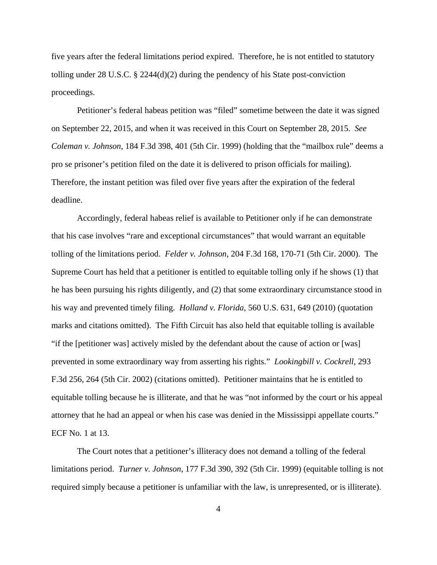five years after the federal limitations period expired. Therefore, he is not entitled to statutory tolling under 28 U.S.C. § 2244(d)(2) during the pendency of his State post-conviction proceedings.

Petitioner's federal habeas petition was "filed" sometime between the date it was signed on September 22, 2015, and when it was received in this Court on September 28, 2015. *See Coleman v. Johnson,* 184 F.3d 398, 401 (5th Cir. 1999) (holding that the "mailbox rule" deems a pro se prisoner's petition filed on the date it is delivered to prison officials for mailing). Therefore, the instant petition was filed over five years after the expiration of the federal deadline.

Accordingly, federal habeas relief is available to Petitioner only if he can demonstrate that his case involves "rare and exceptional circumstances" that would warrant an equitable tolling of the limitations period. *Felder v. Johnson*, 204 F.3d 168, 170-71 (5th Cir. 2000). The Supreme Court has held that a petitioner is entitled to equitable tolling only if he shows (1) that he has been pursuing his rights diligently, and (2) that some extraordinary circumstance stood in his way and prevented timely filing. *Holland v. Florida*, 560 U.S. 631, 649 (2010) (quotation marks and citations omitted). The Fifth Circuit has also held that equitable tolling is available "if the [petitioner was] actively misled by the defendant about the cause of action or [was] prevented in some extraordinary way from asserting his rights." *Lookingbill v. Cockrell*, 293 F.3d 256, 264 (5th Cir. 2002) (citations omitted). Petitioner maintains that he is entitled to equitable tolling because he is illiterate, and that he was "not informed by the court or his appeal attorney that he had an appeal or when his case was denied in the Mississippi appellate courts." ECF No. 1 at 13.

The Court notes that a petitioner's illiteracy does not demand a tolling of the federal limitations period. *Turner v. Johnson*, 177 F.3d 390, 392 (5th Cir. 1999) (equitable tolling is not required simply because a petitioner is unfamiliar with the law, is unrepresented, or is illiterate).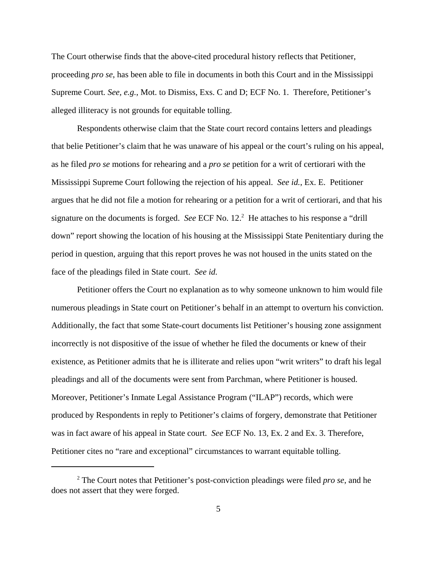The Court otherwise finds that the above-cited procedural history reflects that Petitioner, proceeding *pro se*, has been able to file in documents in both this Court and in the Mississippi Supreme Court*. See, e.g.*, Mot. to Dismiss, Exs. C and D; ECF No. 1. Therefore, Petitioner's alleged illiteracy is not grounds for equitable tolling.

Respondents otherwise claim that the State court record contains letters and pleadings that belie Petitioner's claim that he was unaware of his appeal or the court's ruling on his appeal, as he filed *pro se* motions for rehearing and a *pro se* petition for a writ of certiorari with the Mississippi Supreme Court following the rejection of his appeal. *See id.*, Ex. E. Petitioner argues that he did not file a motion for rehearing or a petition for a writ of certiorari, and that his signature on the documents is forged. See ECF No. 12.<sup>2</sup> He attaches to his response a "drill down" report showing the location of his housing at the Mississippi State Penitentiary during the period in question, arguing that this report proves he was not housed in the units stated on the face of the pleadings filed in State court. *See id.*

Petitioner offers the Court no explanation as to why someone unknown to him would file numerous pleadings in State court on Petitioner's behalf in an attempt to overturn his conviction. Additionally, the fact that some State-court documents list Petitioner's housing zone assignment incorrectly is not dispositive of the issue of whether he filed the documents or knew of their existence, as Petitioner admits that he is illiterate and relies upon "writ writers" to draft his legal pleadings and all of the documents were sent from Parchman, where Petitioner is housed. Moreover, Petitioner's Inmate Legal Assistance Program ("ILAP") records, which were produced by Respondents in reply to Petitioner's claims of forgery, demonstrate that Petitioner was in fact aware of his appeal in State court. *See* ECF No. 13, Ex. 2 and Ex. 3. Therefore, Petitioner cites no "rare and exceptional" circumstances to warrant equitable tolling.

<sup>2</sup> The Court notes that Petitioner's post-conviction pleadings were filed *pro se*, and he does not assert that they were forged.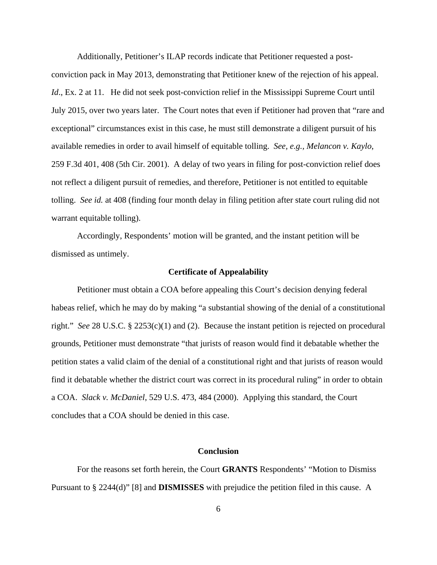Additionally, Petitioner's ILAP records indicate that Petitioner requested a post-

conviction pack in May 2013, demonstrating that Petitioner knew of the rejection of his appeal. *Id.*, Ex. 2 at 11. He did not seek post-conviction relief in the Mississippi Supreme Court until July 2015, over two years later. The Court notes that even if Petitioner had proven that "rare and exceptional" circumstances exist in this case, he must still demonstrate a diligent pursuit of his available remedies in order to avail himself of equitable tolling. *See, e.g., Melancon v. Kaylo*, 259 F.3d 401, 408 (5th Cir. 2001). A delay of two years in filing for post-conviction relief does not reflect a diligent pursuit of remedies, and therefore, Petitioner is not entitled to equitable tolling. *See id.* at 408 (finding four month delay in filing petition after state court ruling did not warrant equitable tolling).

Accordingly, Respondents' motion will be granted, and the instant petition will be dismissed as untimely.

## **Certificate of Appealability**

Petitioner must obtain a COA before appealing this Court's decision denying federal habeas relief, which he may do by making "a substantial showing of the denial of a constitutional right." *See* 28 U.S.C. § 2253(c)(1) and (2). Because the instant petition is rejected on procedural grounds, Petitioner must demonstrate "that jurists of reason would find it debatable whether the petition states a valid claim of the denial of a constitutional right and that jurists of reason would find it debatable whether the district court was correct in its procedural ruling" in order to obtain a COA. *Slack v. McDaniel*, 529 U.S. 473, 484 (2000). Applying this standard, the Court concludes that a COA should be denied in this case.

## **Conclusion**

For the reasons set forth herein, the Court **GRANTS** Respondents' "Motion to Dismiss Pursuant to § 2244(d)" [8] and **DISMISSES** with prejudice the petition filed in this cause. A